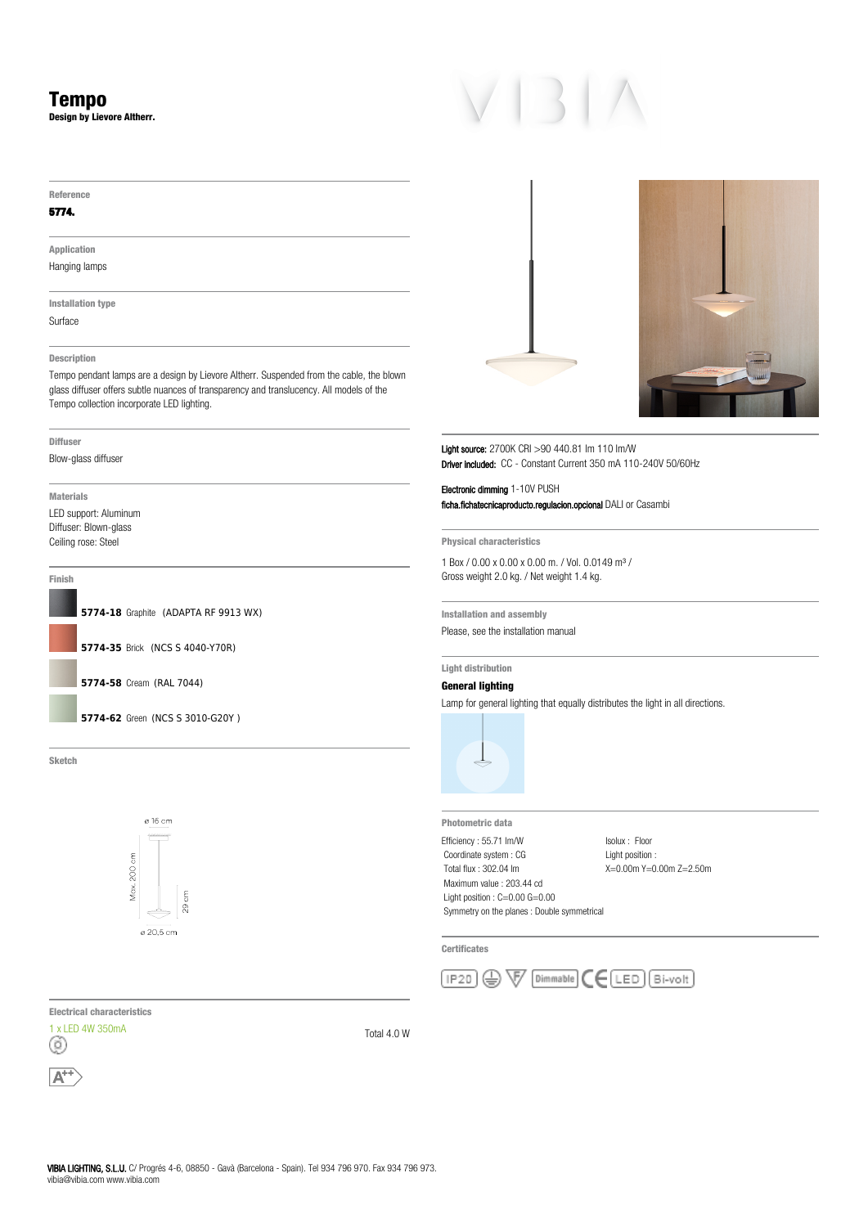**Design by Lievore Altherr.**

#### **Reference**

# **5774.**

**Application** Hanging lamps

**Installation type**

Surface

# **Description**

Tempo pendant lamps are a design by Lievore Altherr. Suspended from the cable, the blown glass diffuser offers subtle nuances of transparency and translucency. All models of the Tempo collection incorporate LED lighting.

## **Diffuser**

Blow-glass diffuser

**Materials** LED support: Aluminum Diffuser: Blown-glass Ceiling rose: Steel

## **Finish**



**Sketch**



**Electrical characteristics**







Light source: 2700K CRI >90 440.81 lm 110 lm/W Driver included: CC - Constant Current 350 mA 110-240V 50/60Hz

Electronic dimming 1-10V PUSH ficha.fichatecnicaproducto.regulacion.opcional DALI or Casambi

**Physical characteristics**

1 Box / 0.00 x 0.00 x 0.00 m. / Vol. 0.0149 m³ / Gross weight 2.0 kg. / Net weight 1.4 kg.

**Installation and assembly** Please, see the installation manual

**Light distribution**

# **General lighting**

Lamp for general lighting that equally distributes the light in all directions.



**Photometric data** Efficiency : 55.71 lm/W Coordinate system : CG Total flux : 302.04 lm Maximum value : 203.44 cd Light position : C=0.00 G=0.00 Symmetry on the planes : Double symmetrical

Isolux : Floor Light position : X=0.00m Y=0.00m Z=2.50m

**Certificates**

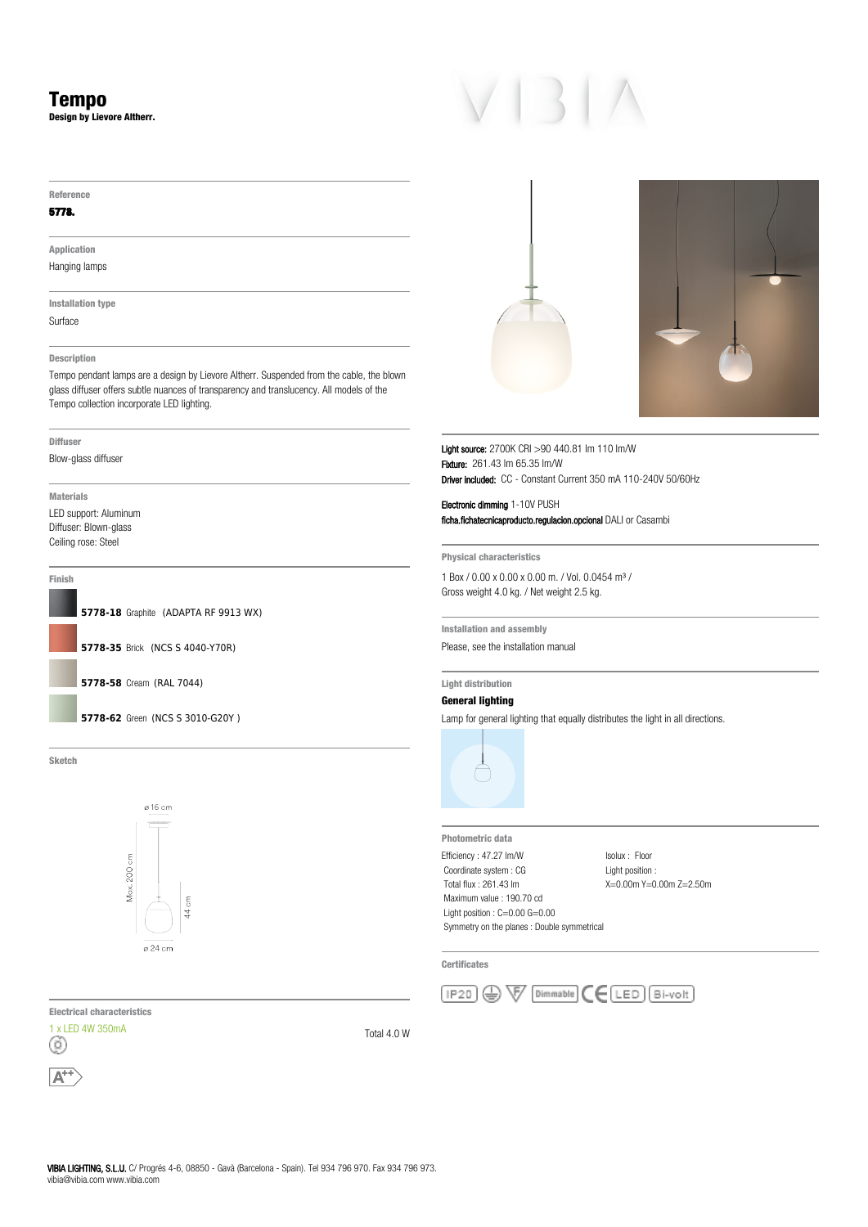**Design by Lievore Altherr.**

#### **Reference**

# **5778.**

**Application** Hanging lamps

**Installation type** Surface

# **Description**

Tempo pendant lamps are a design by Lievore Altherr. Suspended from the cable, the blown glass diffuser offers subtle nuances of transparency and translucency. All models of the Tempo collection incorporate LED lighting.

**Diffuser**

Blow-glass diffuser

**Materials** LED support: Aluminum Diffuser: Blown-glass Ceiling rose: Steel

# **Finish**



**Sketch**



**Electrical characteristics**







Light source: 2700K CRI >90 440.81 lm 110 lm/W Fixture: 261.43 lm 65.35 lm/W Driver included: CC - Constant Current 350 mA 110-240V 50/60Hz

Electronic dimming 1-10V PUSH ficha.fichatecnicaproducto.regulacion.opcional DALI or Casambi

**Physical characteristics**

1 Box / 0.00 x 0.00 x 0.00 m. / Vol. 0.0454 m³ / Gross weight 4.0 kg. / Net weight 2.5 kg.

**Installation and assembly** Please, see the installation manual

**Light distribution**

# **General lighting**

Lamp for general lighting that equally distributes the light in all directions.



**Photometric data** Efficiency : 47.27 lm/W Coordinate system : CG Total flux : 261.43 lm Maximum value : 190.70 cd Light position : C=0.00 G=0.00 Symmetry on the planes : Double symmetrical

Isolux : Floor

Light position : X=0.00m Y=0.00m Z=2.50m

**Certificates**

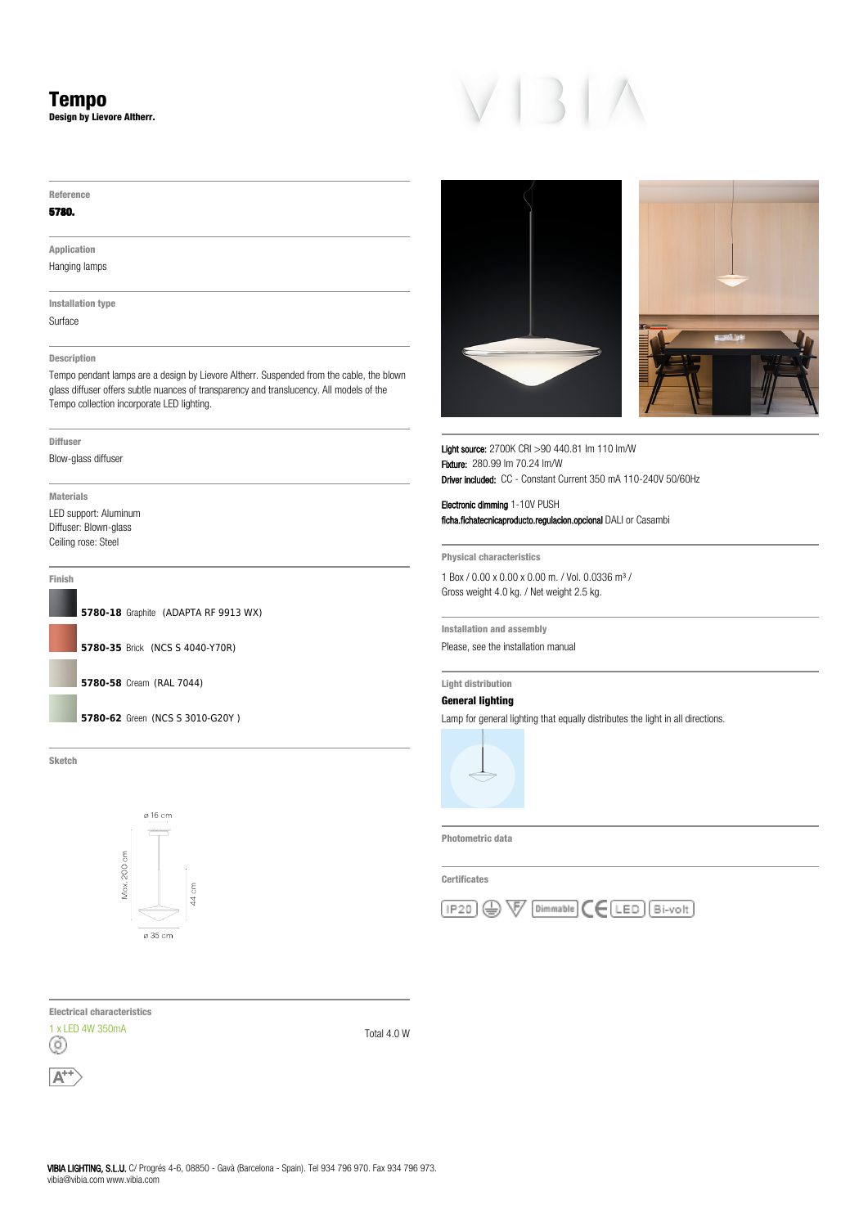**Design by Lievore Altherr.**

#### **Reference**

## **5780.**

**Application**

Hanging lamps

**Installation type** Surface

# **Description**

Tempo pendant lamps are a design by Lievore Altherr. Suspended from the cable, the blown glass diffuser offers subtle nuances of transparency and translucency. All models of the Tempo collection incorporate LED lighting.

### **Diffuser**

Blow-glass diffuser

**Materials** LED support: Aluminum Diffuser: Blown-glass Ceiling rose: Steel

# **Finish**



**Sketch**



Light source: 2700K CRI >90 440.81 lm 110 lm/W Fixture: 280.99 lm 70.24 lm/W Driver included: CC - Constant Current 350 mA 110-240V 50/60Hz

Electronic dimming 1-10V PUSH ficha.fichatecnicaproducto.regulacion.opcional DALI or Casambi

**Physical characteristics**

1 Box / 0.00 x 0.00 x 0.00 m. / Vol. 0.0336 m³ / Gross weight 4.0 kg. / Net weight 2.5 kg.

**Installation and assembly** Please, see the installation manual

# **Light distribution**

**General lighting**

Lamp for general lighting that equally distributes the light in all directions.



**Photometric data**

**Certificates**



**Electrical characteristics**